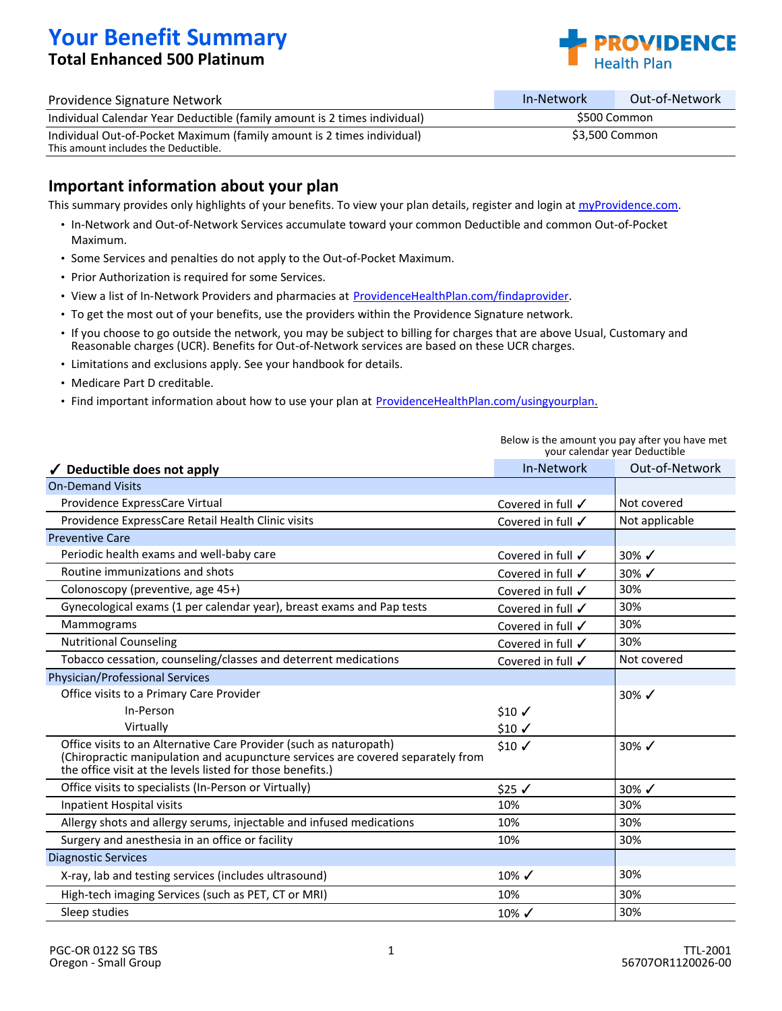# **Your Benefit Summary Total Enhanced 500 Platinum**



| Providence Signature Network                                                                                   | In-Network     | Out-of-Network |
|----------------------------------------------------------------------------------------------------------------|----------------|----------------|
| Individual Calendar Year Deductible (family amount is 2 times individual)                                      | S500 Common    |                |
| Individual Out-of-Pocket Maximum (family amount is 2 times individual)<br>This amount includes the Deductible. | \$3.500 Common |                |

### **Important information about your plan**

This summary provides only highlights of your benefits. To view your plan details, register and login at [myProvidence.com](http://www.myprovidence.com/).

- In-Network and Out-of-Network Services accumulate toward your common Deductible and common Out-of-Pocket Maximum.
- Some Services and penalties do not apply to the Out-of-Pocket Maximum.
- Prior Authorization is required for some Services.
- View a list of In-Network Providers and pharmacies at ProvidenceHealthPlan.com/findaprovider.
- To get the most out of your benefits, use the providers within the Providence Signature network.
- If you choose to go outside the network, you may be subject to billing for charges that are above Usual, Customary and Reasonable charges (UCR). Benefits for Out-of-Network services are based on these UCR charges.
- Limitations and exclusions apply. See your handbook for details.
- Medicare Part D creditable.
- Find important information about how to use your plan at ProvidenceHealthPlan.com/usingyourplan.

| Deductible does not apply                                                                                                                                                                                           | In-Network                   | Out-of-Network   |
|---------------------------------------------------------------------------------------------------------------------------------------------------------------------------------------------------------------------|------------------------------|------------------|
| <b>On-Demand Visits</b>                                                                                                                                                                                             |                              |                  |
| Providence ExpressCare Virtual                                                                                                                                                                                      | Covered in full $\checkmark$ | Not covered      |
| Providence ExpressCare Retail Health Clinic visits                                                                                                                                                                  | Covered in full √            | Not applicable   |
| <b>Preventive Care</b>                                                                                                                                                                                              |                              |                  |
| Periodic health exams and well-baby care                                                                                                                                                                            | Covered in full $\checkmark$ | 30% $\checkmark$ |
| Routine immunizations and shots                                                                                                                                                                                     | Covered in full $\checkmark$ | 30% $\checkmark$ |
| Colonoscopy (preventive, age 45+)                                                                                                                                                                                   | Covered in full $\checkmark$ | 30%              |
| Gynecological exams (1 per calendar year), breast exams and Pap tests                                                                                                                                               | Covered in full $\checkmark$ | 30%              |
| Mammograms                                                                                                                                                                                                          | Covered in full $\checkmark$ | 30%              |
| <b>Nutritional Counseling</b>                                                                                                                                                                                       | Covered in full √            | 30%              |
| Tobacco cessation, counseling/classes and deterrent medications                                                                                                                                                     | Covered in full √            | Not covered      |
| <b>Physician/Professional Services</b>                                                                                                                                                                              |                              |                  |
| Office visits to a Primary Care Provider                                                                                                                                                                            |                              | 30% $\checkmark$ |
| In-Person                                                                                                                                                                                                           | $$10 \checkmark$             |                  |
| Virtually                                                                                                                                                                                                           | $$10 \checkmark$             |                  |
| Office visits to an Alternative Care Provider (such as naturopath)<br>(Chiropractic manipulation and acupuncture services are covered separately from<br>the office visit at the levels listed for those benefits.) | $$10 \checkmark$             | 30% $\checkmark$ |
| Office visits to specialists (In-Person or Virtually)                                                                                                                                                               | $$25 \checkmark$             | 30% $\checkmark$ |
| Inpatient Hospital visits                                                                                                                                                                                           | 10%                          | 30%              |
| Allergy shots and allergy serums, injectable and infused medications                                                                                                                                                | 10%                          | 30%              |
| Surgery and anesthesia in an office or facility                                                                                                                                                                     | 10%                          | 30%              |
| <b>Diagnostic Services</b>                                                                                                                                                                                          |                              |                  |
| X-ray, lab and testing services (includes ultrasound)                                                                                                                                                               | $10\%$ $\checkmark$          | 30%              |
| High-tech imaging Services (such as PET, CT or MRI)                                                                                                                                                                 | 10%                          | 30%              |
| Sleep studies                                                                                                                                                                                                       | $10\%$ $\checkmark$          | 30%              |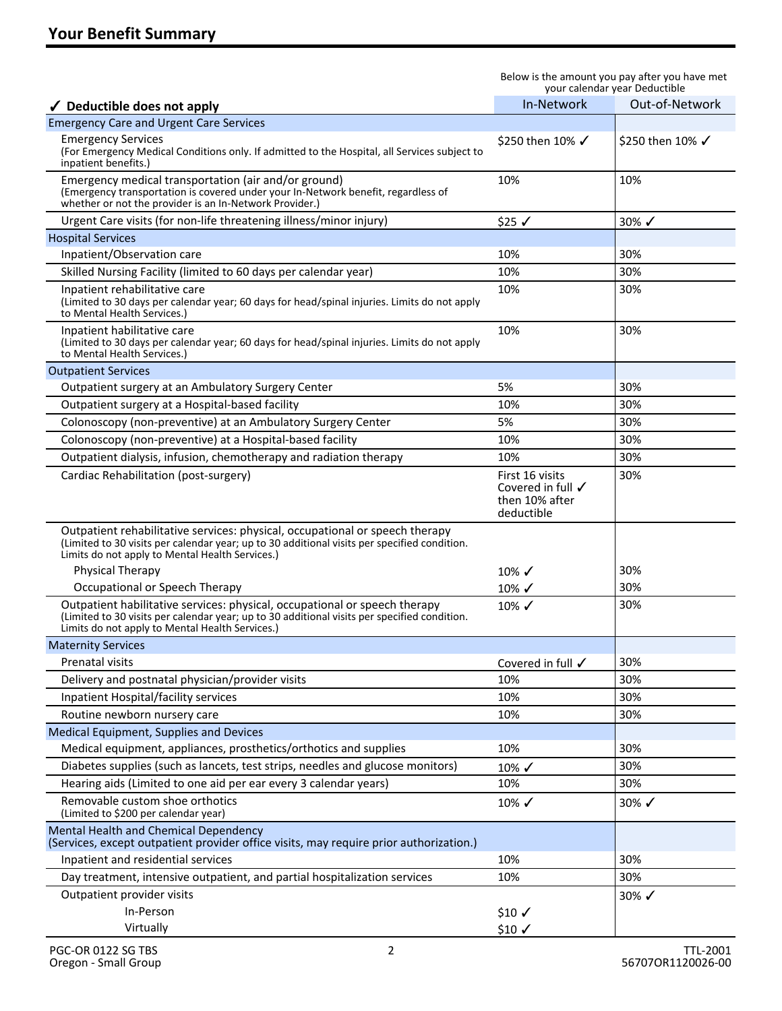| $\checkmark$ Deductible does not apply                                                                                                                                                                                          | In-Network                                                                      | Out-of-Network      |
|---------------------------------------------------------------------------------------------------------------------------------------------------------------------------------------------------------------------------------|---------------------------------------------------------------------------------|---------------------|
| <b>Emergency Care and Urgent Care Services</b>                                                                                                                                                                                  |                                                                                 |                     |
| <b>Emergency Services</b><br>(For Emergency Medical Conditions only. If admitted to the Hospital, all Services subject to<br>inpatient benefits.)                                                                               | \$250 then 10% √                                                                | \$250 then 10% √    |
| Emergency medical transportation (air and/or ground)<br>(Emergency transportation is covered under your In-Network benefit, regardless of<br>whether or not the provider is an In-Network Provider.)                            | 10%                                                                             | 10%                 |
| Urgent Care visits (for non-life threatening illness/minor injury)                                                                                                                                                              | $$25$ $\checkmark$                                                              | 30%√                |
| <b>Hospital Services</b>                                                                                                                                                                                                        |                                                                                 |                     |
| Inpatient/Observation care                                                                                                                                                                                                      | 10%                                                                             | 30%                 |
| Skilled Nursing Facility (limited to 60 days per calendar year)                                                                                                                                                                 | 10%                                                                             | 30%                 |
| Inpatient rehabilitative care<br>(Limited to 30 days per calendar year; 60 days for head/spinal injuries. Limits do not apply<br>to Mental Health Services.)                                                                    | 10%                                                                             | 30%                 |
| Inpatient habilitative care<br>(Limited to 30 days per calendar year; 60 days for head/spinal injuries. Limits do not apply<br>to Mental Health Services.)                                                                      | 10%                                                                             | 30%                 |
| <b>Outpatient Services</b>                                                                                                                                                                                                      |                                                                                 |                     |
| Outpatient surgery at an Ambulatory Surgery Center                                                                                                                                                                              | 5%                                                                              | 30%                 |
| Outpatient surgery at a Hospital-based facility                                                                                                                                                                                 | 10%                                                                             | 30%                 |
| Colonoscopy (non-preventive) at an Ambulatory Surgery Center                                                                                                                                                                    | 5%                                                                              | 30%                 |
| Colonoscopy (non-preventive) at a Hospital-based facility                                                                                                                                                                       | 10%                                                                             | 30%                 |
| Outpatient dialysis, infusion, chemotherapy and radiation therapy                                                                                                                                                               | 10%                                                                             | 30%                 |
| Cardiac Rehabilitation (post-surgery)                                                                                                                                                                                           | First 16 visits<br>Covered in full $\checkmark$<br>then 10% after<br>deductible | 30%                 |
| Outpatient rehabilitative services: physical, occupational or speech therapy<br>(Limited to 30 visits per calendar year; up to 30 additional visits per specified condition.<br>Limits do not apply to Mental Health Services.) |                                                                                 |                     |
| <b>Physical Therapy</b>                                                                                                                                                                                                         | 10%√                                                                            | 30%                 |
| Occupational or Speech Therapy                                                                                                                                                                                                  | 10%√                                                                            | 30%                 |
| Outpatient habilitative services: physical, occupational or speech therapy<br>(Limited to 30 visits per calendar year; up to 30 additional visits per specified condition.<br>Limits do not apply to Mental Health Services.)   | 10%√                                                                            | 30%                 |
| <b>Maternity Services</b>                                                                                                                                                                                                       |                                                                                 |                     |
| Prenatal visits                                                                                                                                                                                                                 | Covered in full √                                                               | 30%                 |
| Delivery and postnatal physician/provider visits                                                                                                                                                                                | 10%                                                                             | 30%                 |
| <b>Inpatient Hospital/facility services</b>                                                                                                                                                                                     | 10%                                                                             | 30%                 |
| Routine newborn nursery care                                                                                                                                                                                                    | 10%                                                                             | 30%                 |
| Medical Equipment, Supplies and Devices                                                                                                                                                                                         |                                                                                 |                     |
| Medical equipment, appliances, prosthetics/orthotics and supplies                                                                                                                                                               | 10%                                                                             | 30%                 |
| Diabetes supplies (such as lancets, test strips, needles and glucose monitors)                                                                                                                                                  | 10%√                                                                            | 30%                 |
| Hearing aids (Limited to one aid per ear every 3 calendar years)                                                                                                                                                                | 10%                                                                             | 30%                 |
| Removable custom shoe orthotics<br>(Limited to \$200 per calendar year)                                                                                                                                                         | 10%√                                                                            | 30%√                |
| Mental Health and Chemical Dependency<br>(Services, except outpatient provider office visits, may require prior authorization.)                                                                                                 |                                                                                 |                     |
| Inpatient and residential services                                                                                                                                                                                              | 10%                                                                             | 30%                 |
| Day treatment, intensive outpatient, and partial hospitalization services                                                                                                                                                       | 10%                                                                             | 30%                 |
| Outpatient provider visits                                                                                                                                                                                                      |                                                                                 | $30\%$ $\checkmark$ |
| In-Person                                                                                                                                                                                                                       | $$10 \checkmark$                                                                |                     |
| Virtually                                                                                                                                                                                                                       | $$10 \checkmark$                                                                |                     |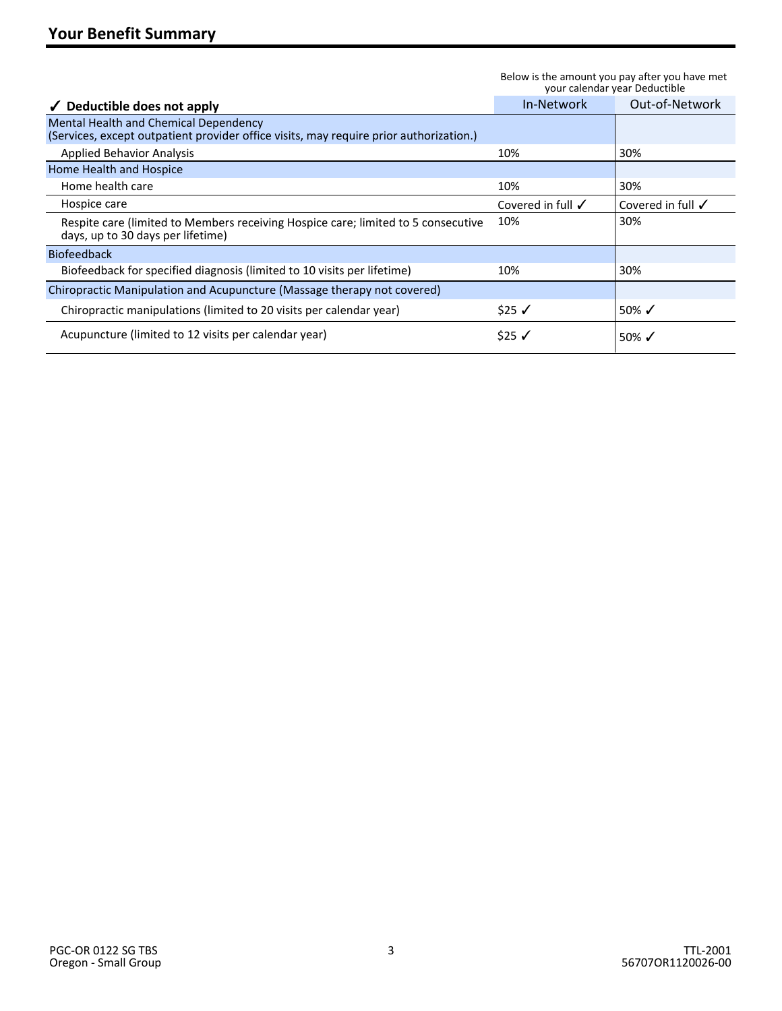|                                                                                                                                 | youi calendar year Deductible |                              |
|---------------------------------------------------------------------------------------------------------------------------------|-------------------------------|------------------------------|
| $\checkmark$ Deductible does not apply                                                                                          | In-Network                    | Out-of-Network               |
| Mental Health and Chemical Dependency<br>(Services, except outpatient provider office visits, may require prior authorization.) |                               |                              |
| <b>Applied Behavior Analysis</b>                                                                                                | 10%                           | 30%                          |
| Home Health and Hospice                                                                                                         |                               |                              |
| Home health care                                                                                                                | 10%                           | 30%                          |
| Hospice care                                                                                                                    | Covered in full $\checkmark$  | Covered in full $\checkmark$ |
| Respite care (limited to Members receiving Hospice care; limited to 5 consecutive<br>days, up to 30 days per lifetime)          | 10%                           | 30%                          |
| <b>Biofeedback</b>                                                                                                              |                               |                              |
| Biofeedback for specified diagnosis (limited to 10 visits per lifetime)                                                         | 10%                           | 30%                          |
| Chiropractic Manipulation and Acupuncture (Massage therapy not covered)                                                         |                               |                              |
| Chiropractic manipulations (limited to 20 visits per calendar year)                                                             | $$25 \checkmark$              | 50% $\checkmark$             |
| Acupuncture (limited to 12 visits per calendar year)                                                                            | \$25 ✔                        | 50% $\checkmark$             |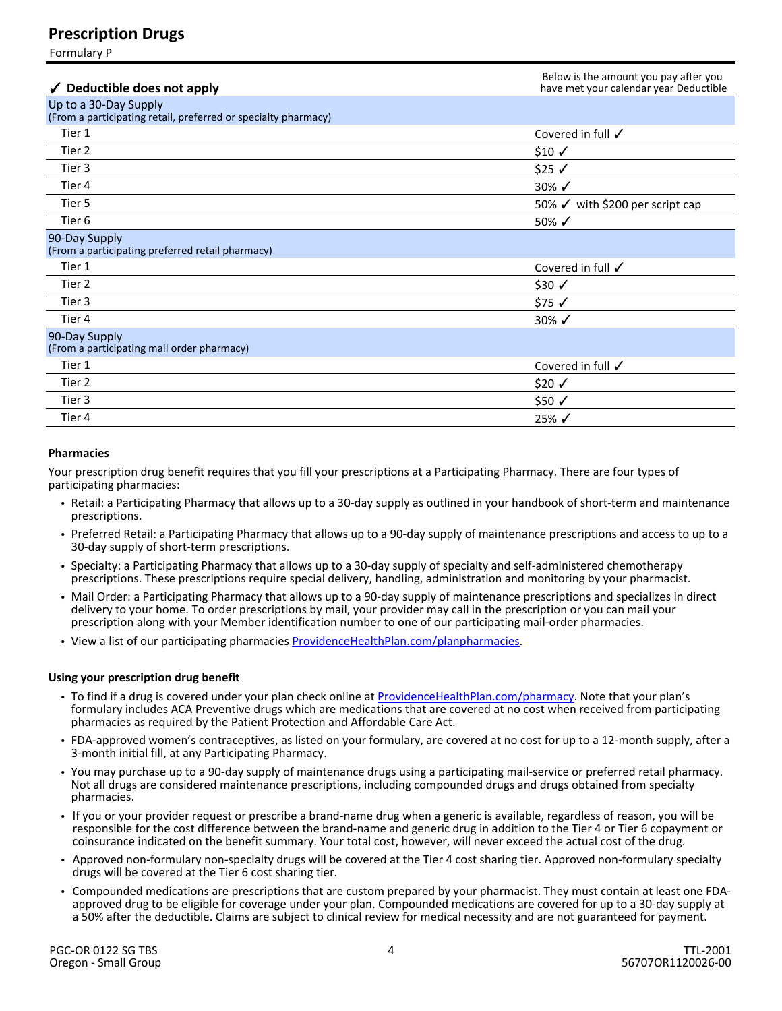## **Prescription Drugs**

Formulary P

| Deductible does not apply                                                               | Below is the amount you pay after you<br>have met your calendar year Deductible |
|-----------------------------------------------------------------------------------------|---------------------------------------------------------------------------------|
| Up to a 30-Day Supply<br>(From a participating retail, preferred or specialty pharmacy) |                                                                                 |
| Tier 1                                                                                  | Covered in full √                                                               |
| Tier 2                                                                                  | $$10 \checkmark$                                                                |
| Tier 3                                                                                  | $$25$ $\checkmark$                                                              |
| Tier 4                                                                                  | $30\%$ $\checkmark$                                                             |
| Tier 5                                                                                  | 50% √ with \$200 per script cap                                                 |
| Tier <sub>6</sub>                                                                       | 50% $\checkmark$                                                                |
| 90-Day Supply<br>(From a participating preferred retail pharmacy)                       |                                                                                 |
| Tier 1                                                                                  | Covered in full $\checkmark$                                                    |
| Tier 2                                                                                  | $$30 \checkmark$                                                                |
| Tier 3                                                                                  | \$75√                                                                           |
| Tier 4                                                                                  | 30% $\checkmark$                                                                |
| 90-Day Supply<br>(From a participating mail order pharmacy)                             |                                                                                 |
| Tier 1                                                                                  | Covered in full √                                                               |
| Tier 2                                                                                  | $$20$ ✓                                                                         |
| Tier 3                                                                                  | \$50 √                                                                          |
| Tier 4                                                                                  | $25\%$ $\checkmark$                                                             |

#### **Pharmacies**

Your prescription drug benefit requires that you fill your prescriptions at a Participating Pharmacy. There are four types of participating pharmacies:

- Retail: a Participating Pharmacy that allows up to a 30-day supply as outlined in your handbook of short-term and maintenance prescriptions.
- Preferred Retail: a Participating Pharmacy that allows up to a 90-day supply of maintenance prescriptions and access to up to a 30-day supply of short-term prescriptions.
- Specialty: a Participating Pharmacy that allows up to a 30-day supply of specialty and self-administered chemotherapy prescriptions. These prescriptions require special delivery, handling, administration and monitoring by your pharmacist.
- Mail Order: a Participating Pharmacy that allows up to a 90-day supply of maintenance prescriptions and specializes in direct delivery to your home. To order prescriptions by mail, your provider may call in the prescription or you can mail your prescription along with your Member identification number to one of our participating mail-order pharmacies.
- View a list of our participating pharmacies [ProvidenceHealthPlan.com/planpharmacies.](http://www.ProvidenceHealthPlan.com/planpharmacies)

#### **Using your prescription drug benefit**

- To find if a drug is covered under your plan check online at [ProvidenceHealthPlan.com/pharmacy](http://www.ProvidenceHealthPlan.com/pharmacy). Note that your plan's formulary includes ACA Preventive drugs which are medications that are covered at no cost when received from participating pharmacies as required by the Patient Protection and Affordable Care Act.
- FDA-approved women's contraceptives, as listed on your formulary, are covered at no cost for up to a 12-month supply, after a 3-month initial fill, at any Participating Pharmacy.
- You may purchase up to a 90-day supply of maintenance drugs using a participating mail-service or preferred retail pharmacy. Not all drugs are considered maintenance prescriptions, including compounded drugs and drugs obtained from specialty pharmacies.
- If you or your provider request or prescribe a brand-name drug when a generic is available, regardless of reason, you will be responsible for the cost difference between the brand-name and generic drug in addition to the Tier 4 or Tier 6 copayment or coinsurance indicated on the benefit summary. Your total cost, however, will never exceed the actual cost of the drug.
- Approved non-formulary non-specialty drugs will be covered at the Tier 4 cost sharing tier. Approved non-formulary specialty drugs will be covered at the Tier 6 cost sharing tier.
- Compounded medications are prescriptions that are custom prepared by your pharmacist. They must contain at least one FDAapproved drug to be eligible for coverage under your plan. Compounded medications are covered for up to a 30-day supply at a 50% after the deductible. Claims are subject to clinical review for medical necessity and are not guaranteed for payment.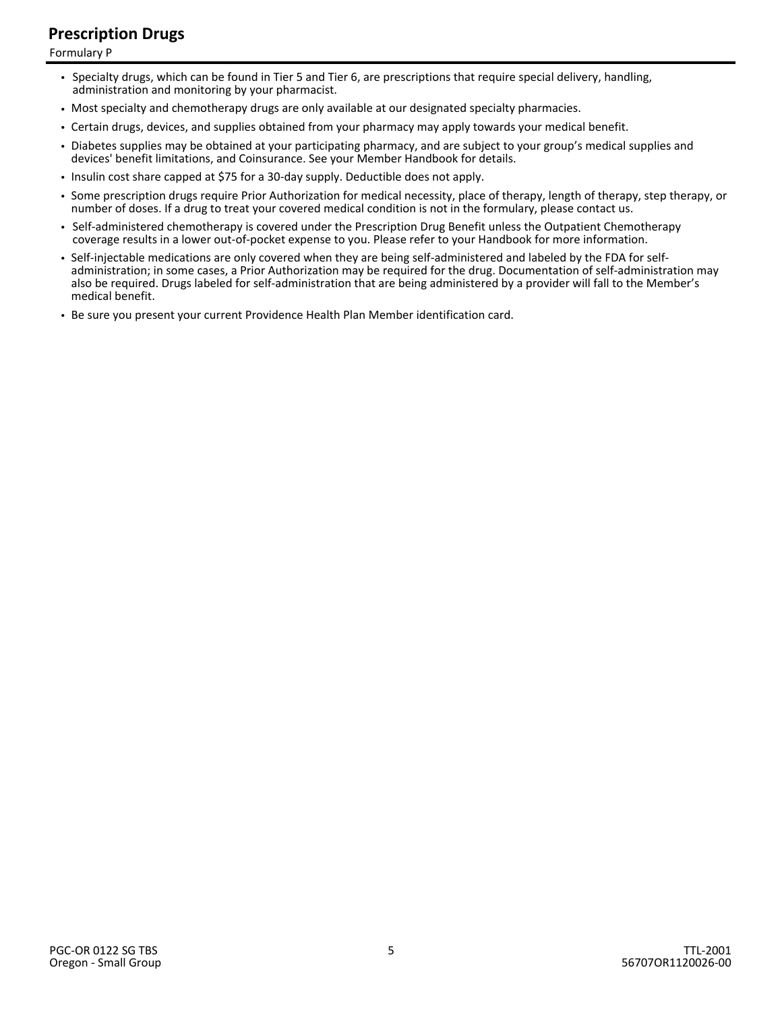# **Prescription Drugs**

Formulary P

- Specialty drugs, which can be found in Tier 5 and Tier 6, are prescriptions that require special delivery, handling, administration and monitoring by your pharmacist.
- Most specialty and chemotherapy drugs are only available at our designated specialty pharmacies.
- Certain drugs, devices, and supplies obtained from your pharmacy may apply towards your medical benefit.
- Diabetes supplies may be obtained at your participating pharmacy, and are subject to your group's medical supplies and devices' benefit limitations, and Coinsurance. See your Member Handbook for details.
- Insulin cost share capped at \$75 for a 30-day supply. Deductible does not apply.
- Some prescription drugs require Prior Authorization for medical necessity, place of therapy, length of therapy, step therapy, or number of doses. If a drug to treat your covered medical condition is not in the formulary, please contact us.
- Self-administered chemotherapy is covered under the Prescription Drug Benefit unless the Outpatient Chemotherapy coverage results in a lower out-of-pocket expense to you. Please refer to your Handbook for more information.
- Self-injectable medications are only covered when they are being self-administered and labeled by the FDA for selfadministration; in some cases, a Prior Authorization may be required for the drug. Documentation of self-administration may also be required. Drugs labeled for self-administration that are being administered by a provider will fall to the Member's medical benefit.
- Be sure you present your current Providence Health Plan Member identification card.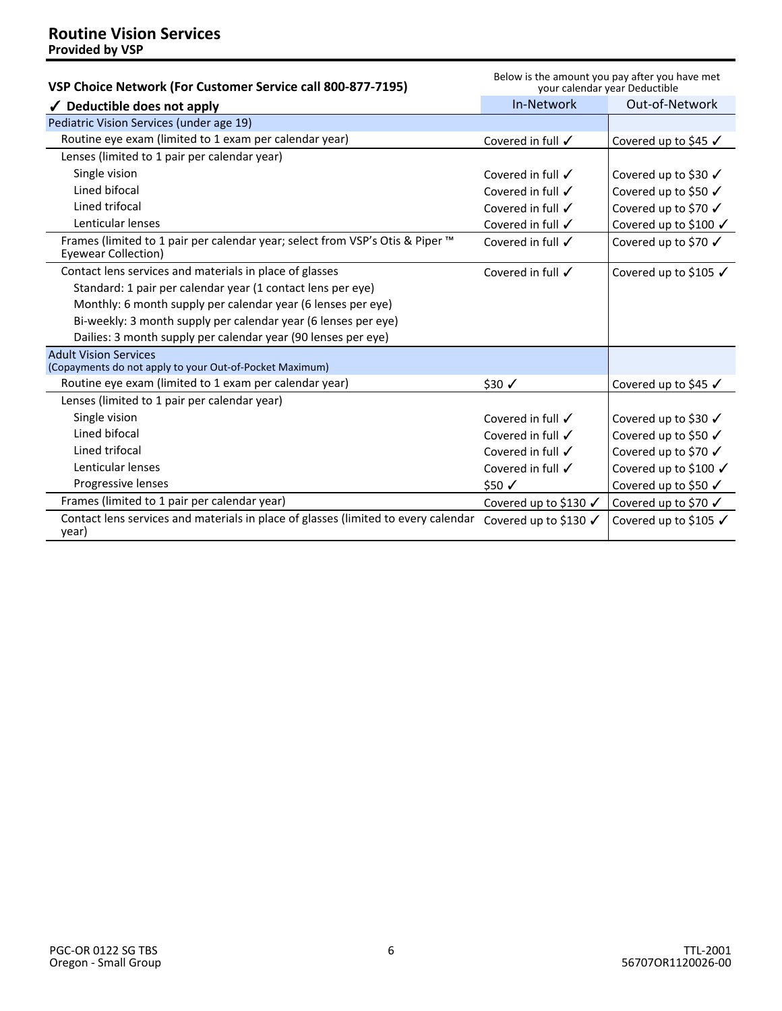| VSP Choice Network (For Customer Service call 800-877-7195)                                                 | Below is the amount you pay after you have met<br>your calendar year Deductible |                                  |
|-------------------------------------------------------------------------------------------------------------|---------------------------------------------------------------------------------|----------------------------------|
| $\checkmark$ Deductible does not apply                                                                      | In-Network                                                                      | Out-of-Network                   |
| Pediatric Vision Services (under age 19)                                                                    |                                                                                 |                                  |
| Routine eye exam (limited to 1 exam per calendar year)                                                      | Covered in full $\checkmark$                                                    | Covered up to \$45 √             |
| Lenses (limited to 1 pair per calendar year)                                                                |                                                                                 |                                  |
| Single vision                                                                                               | Covered in full $\checkmark$                                                    | Covered up to \$30 √             |
| Lined bifocal                                                                                               | Covered in full $\checkmark$                                                    | Covered up to \$50 √             |
| Lined trifocal                                                                                              | Covered in full $\checkmark$                                                    | Covered up to \$70 √             |
| Lenticular lenses                                                                                           | Covered in full $\checkmark$                                                    | Covered up to \$100 √            |
| Frames (limited to 1 pair per calendar year; select from VSP's Otis & Piper ™<br><b>Eyewear Collection)</b> | Covered in full $\checkmark$                                                    | Covered up to \$70 √             |
| Contact lens services and materials in place of glasses                                                     | Covered in full $\checkmark$                                                    | Covered up to \$105 $\checkmark$ |
| Standard: 1 pair per calendar year (1 contact lens per eye)                                                 |                                                                                 |                                  |
| Monthly: 6 month supply per calendar year (6 lenses per eye)                                                |                                                                                 |                                  |
| Bi-weekly: 3 month supply per calendar year (6 lenses per eye)                                              |                                                                                 |                                  |
| Dailies: 3 month supply per calendar year (90 lenses per eye)                                               |                                                                                 |                                  |
| <b>Adult Vision Services</b><br>(Copayments do not apply to your Out-of-Pocket Maximum)                     |                                                                                 |                                  |
| Routine eye exam (limited to 1 exam per calendar year)                                                      | $$30 \checkmark$                                                                | Covered up to \$45 √             |
| Lenses (limited to 1 pair per calendar year)                                                                |                                                                                 |                                  |
| Single vision                                                                                               | Covered in full $\checkmark$                                                    | Covered up to \$30 √             |
| Lined bifocal                                                                                               | Covered in full $\checkmark$                                                    | Covered up to \$50 √             |
| Lined trifocal                                                                                              | Covered in full $\checkmark$                                                    | Covered up to \$70 √             |
| Lenticular lenses                                                                                           | Covered in full $\checkmark$                                                    | Covered up to \$100 √            |
| Progressive lenses                                                                                          | $$50 \checkmark$                                                                | Covered up to \$50 √             |
| Frames (limited to 1 pair per calendar year)                                                                | Covered up to \$130 √                                                           | Covered up to \$70 √             |
| Contact lens services and materials in place of glasses (limited to every calendar<br>year)                 | Covered up to \$130 √                                                           | Covered up to \$105 √            |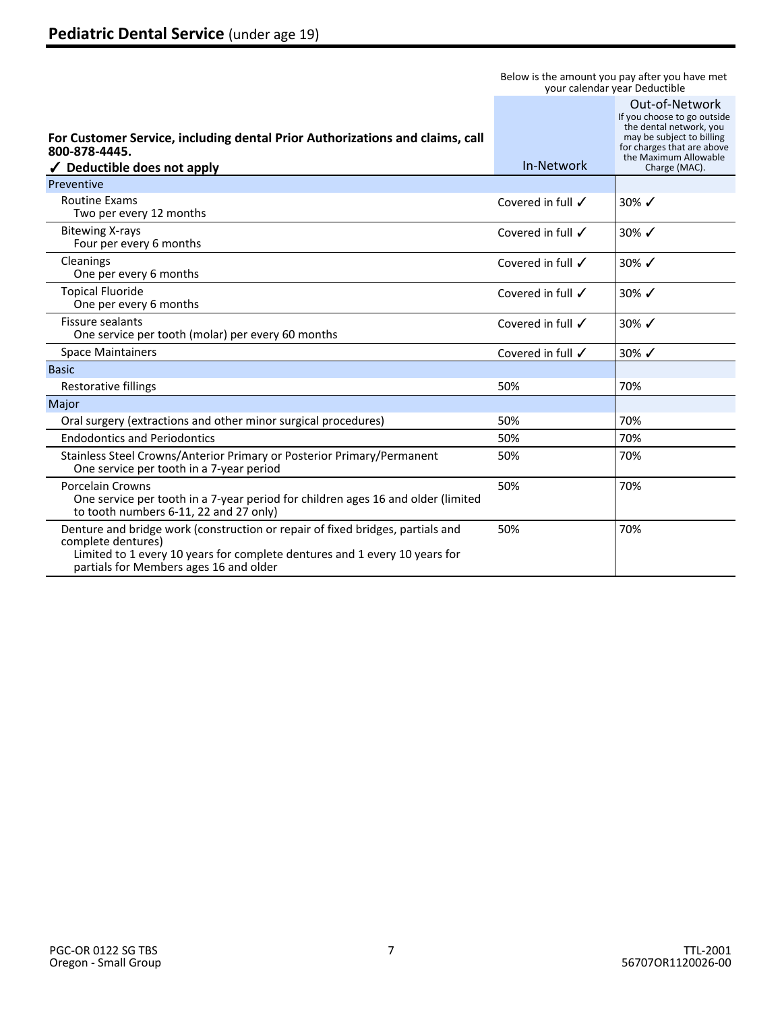| For Customer Service, including dental Prior Authorizations and claims, call<br>800-878-4445.<br>$\checkmark$ Deductible does not apply                                                                                      | In-Network                   | Out-of-Network<br>If you choose to go outside<br>the dental network, you<br>may be subject to billing<br>for charges that are above<br>the Maximum Allowable<br>Charge (MAC). |
|------------------------------------------------------------------------------------------------------------------------------------------------------------------------------------------------------------------------------|------------------------------|-------------------------------------------------------------------------------------------------------------------------------------------------------------------------------|
| Preventive                                                                                                                                                                                                                   |                              |                                                                                                                                                                               |
| <b>Routine Exams</b><br>Two per every 12 months                                                                                                                                                                              | Covered in full $\checkmark$ | 30% $\checkmark$                                                                                                                                                              |
| <b>Bitewing X-rays</b><br>Four per every 6 months                                                                                                                                                                            | Covered in full $\checkmark$ | 30% $\checkmark$                                                                                                                                                              |
| Cleanings<br>One per every 6 months                                                                                                                                                                                          | Covered in full $\checkmark$ | 30% $\checkmark$                                                                                                                                                              |
| <b>Topical Fluoride</b><br>One per every 6 months                                                                                                                                                                            | Covered in full $\checkmark$ | 30% $\checkmark$                                                                                                                                                              |
| <b>Fissure sealants</b><br>One service per tooth (molar) per every 60 months                                                                                                                                                 | Covered in full √            | $30\%$ $\checkmark$                                                                                                                                                           |
| <b>Space Maintainers</b>                                                                                                                                                                                                     | Covered in full √            | 30% $\checkmark$                                                                                                                                                              |
| <b>Basic</b>                                                                                                                                                                                                                 |                              |                                                                                                                                                                               |
| Restorative fillings                                                                                                                                                                                                         | 50%                          | 70%                                                                                                                                                                           |
| Major                                                                                                                                                                                                                        |                              |                                                                                                                                                                               |
| Oral surgery (extractions and other minor surgical procedures)                                                                                                                                                               | 50%                          | 70%                                                                                                                                                                           |
| <b>Endodontics and Periodontics</b>                                                                                                                                                                                          | 50%                          | 70%                                                                                                                                                                           |
| Stainless Steel Crowns/Anterior Primary or Posterior Primary/Permanent<br>One service per tooth in a 7-year period                                                                                                           | 50%                          | 70%                                                                                                                                                                           |
| Porcelain Crowns<br>One service per tooth in a 7-year period for children ages 16 and older (limited<br>to tooth numbers 6-11, 22 and 27 only)                                                                               | 50%                          | 70%                                                                                                                                                                           |
| Denture and bridge work (construction or repair of fixed bridges, partials and<br>complete dentures)<br>Limited to 1 every 10 years for complete dentures and 1 every 10 years for<br>partials for Members ages 16 and older | 50%                          | 70%                                                                                                                                                                           |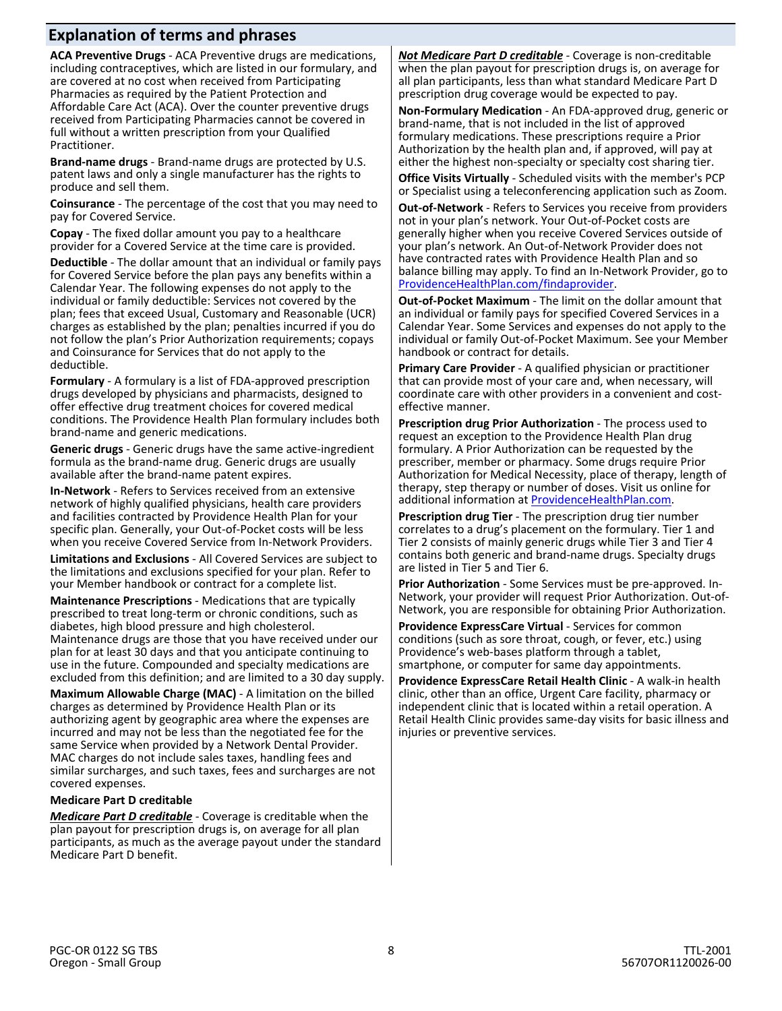# **Explanation of terms and phrases**

**ACA Preventive Drugs** - ACA Preventive drugs are medications, including contraceptives, which are listed in our formulary, and are covered at no cost when received from Participating Pharmacies as required by the Patient Protection and Affordable Care Act (ACA). Over the counter preventive drugs received from Participating Pharmacies cannot be covered in full without a written prescription from your Qualified Practitioner.

**Brand-name drugs** - Brand-name drugs are protected by U.S. patent laws and only a single manufacturer has the rights to produce and sell them.

**Coinsurance** - The percentage of the cost that you may need to pay for Covered Service.

**Copay** - The fixed dollar amount you pay to a healthcare provider for a Covered Service at the time care is provided.

**Deductible** - The dollar amount that an individual or family pays for Covered Service before the plan pays any benefits within a Calendar Year. The following expenses do not apply to the individual or family deductible: Services not covered by the plan; fees that exceed Usual, Customary and Reasonable (UCR) charges as established by the plan; penalties incurred if you do not follow the plan's Prior Authorization requirements; copays and Coinsurance for Services that do not apply to the deductible.

**Formulary** - A formulary is a list of FDA-approved prescription drugs developed by physicians and pharmacists, designed to offer effective drug treatment choices for covered medical conditions. The Providence Health Plan formulary includes both brand-name and generic medications.

**Generic drugs** - Generic drugs have the same active-ingredient formula as the brand-name drug. Generic drugs are usually available after the brand-name patent expires.

**In-Network** - Refers to Services received from an extensive network of highly qualified physicians, health care providers and facilities contracted by Providence Health Plan for your specific plan. Generally, your Out-of-Pocket costs will be less when you receive Covered Service from In-Network Providers.

**Limitations and Exclusions** - All Covered Services are subject to the limitations and exclusions specified for your plan. Refer to your Member handbook or contract for a complete list.

**Maintenance Prescriptions** - Medications that are typically prescribed to treat long-term or chronic conditions, such as diabetes, high blood pressure and high cholesterol. Maintenance drugs are those that you have received under our plan for at least 30 days and that you anticipate continuing to use in the future. Compounded and specialty medications are excluded from this definition; and are limited to a 30 day supply.

**Maximum Allowable Charge (MAC)** - A limitation on the billed charges as determined by Providence Health Plan or its authorizing agent by geographic area where the expenses are incurred and may not be less than the negotiated fee for the same Service when provided by a Network Dental Provider. MAC charges do not include sales taxes, handling fees and similar surcharges, and such taxes, fees and surcharges are not covered expenses.

#### **Medicare Part D creditable**

*Medicare Part D creditable* - Coverage is creditable when the plan payout for prescription drugs is, on average for all plan participants, as much as the average payout under the standard Medicare Part D benefit.

*Not Medicare Part D creditable* - Coverage is non-creditable when the plan payout for prescription drugs is, on average for all plan participants, less than what standard Medicare Part D prescription drug coverage would be expected to pay.

**Non-Formulary Medication** - An FDA-approved drug, generic or brand-name, that is not included in the list of approved formulary medications. These prescriptions require a Prior Authorization by the health plan and, if approved, will pay at either the highest non-specialty or specialty cost sharing tier.

**Office Visits Virtually** - Scheduled visits with the member's PCP or Specialist using a teleconferencing application such as Zoom.

**Out-of-Network** - Refers to Services you receive from providers not in your plan's network. Your Out-of-Pocket costs are generally higher when you receive Covered Services outside of your plan's network. An Out-of-Network Provider does not have contracted rates with Providence Health Plan and so balance billing may apply. To find an In-Network Provider, go to [ProvidenceHealthPlan.com/findaprovider](http://www.providencehealthplan.com/findaprovider/).

**Out-of-Pocket Maximum** - The limit on the dollar amount that an individual or family pays for specified Covered Services in a Calendar Year. Some Services and expenses do not apply to the individual or family Out-of-Pocket Maximum. See your Member handbook or contract for details.

**Primary Care Provider** - A qualified physician or practitioner that can provide most of your care and, when necessary, will coordinate care with other providers in a convenient and costeffective manner.

**Prescription drug Prior Authorization** - The process used to request an exception to the Providence Health Plan drug formulary. A Prior Authorization can be requested by the prescriber, member or pharmacy. Some drugs require Prior Authorization for Medical Necessity, place of therapy, length of therapy, step therapy or number of doses. Visit us online for additional information at [ProvidenceHealthPlan.com](http://www.providencehealthplan.com/).

**Prescription drug Tier** - The prescription drug tier number correlates to a drug's placement on the formulary. Tier 1 and Tier 2 consists of mainly generic drugs while Tier 3 and Tier 4 contains both generic and brand-name drugs. Specialty drugs are listed in Tier 5 and Tier 6.

**Prior Authorization** - Some Services must be pre-approved. In-Network, your provider will request Prior Authorization. Out-of-Network, you are responsible for obtaining Prior Authorization.

**Providence ExpressCare Virtual** - Services for common conditions (such as sore throat, cough, or fever, etc.) using Providence's web-bases platform through a tablet, smartphone, or computer for same day appointments.

**Providence ExpressCare Retail Health Clinic** - A walk-in health clinic, other than an office, Urgent Care facility, pharmacy or independent clinic that is located within a retail operation. A Retail Health Clinic provides same-day visits for basic illness and injuries or preventive services.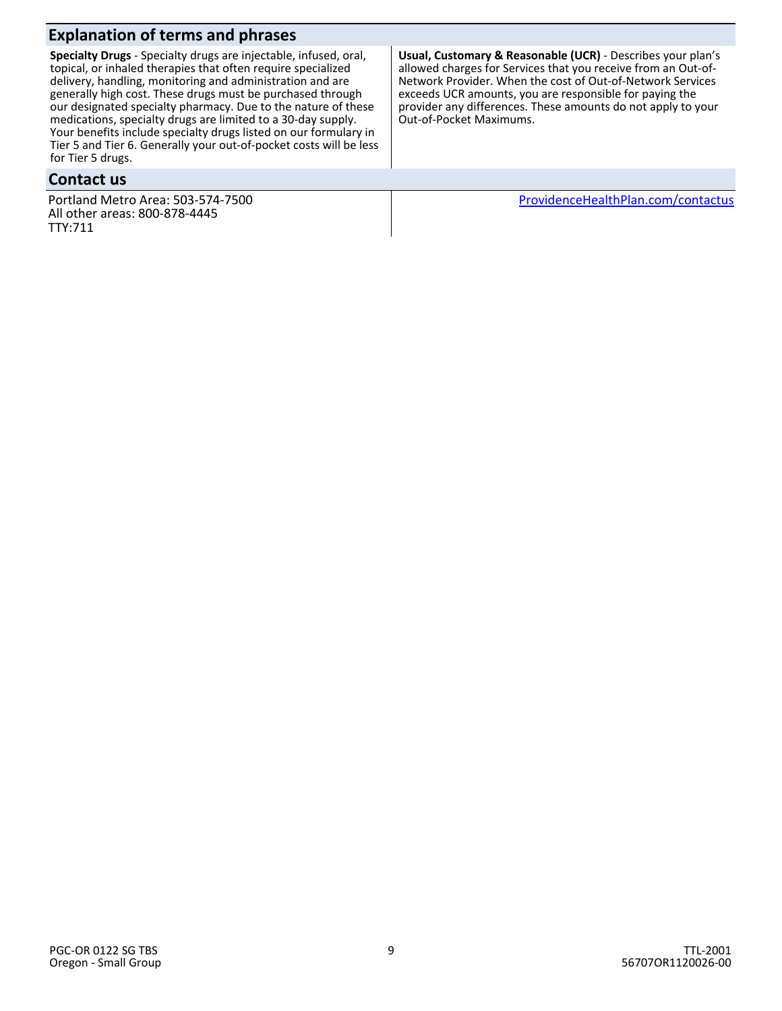**Specialty Drugs** - Specialty drugs are injectable, infused, oral, topical, or inhaled therapies that often require specialized delivery, handling, monitoring and administration and are generally high cost. These drugs must be purchased through our designated specialty pharmacy. Due to the nature of these medications, specialty drugs are limited to a 30-day supply. Your benefits include specialty drugs listed on our formulary in Tier 5 and Tier 6. Generally your out-of-pocket costs will be less for Tier 5 drugs.

### **Contact us**

Portland Metro Area: 503-574-7500 All other areas: 800-878-4445 TTY:711

**Usual, Customary & Reasonable (UCR)** - Describes your plan's allowed charges for Services that you receive from an Out-of-Network Provider. When the cost of Out-of-Network Services exceeds UCR amounts, you are responsible for paying the provider any differences. These amounts do not apply to your Out-of-Pocket Maximums.

 [ProvidenceHealthPlan.com/contactus](http://www.providencehealthplan.com/contactus)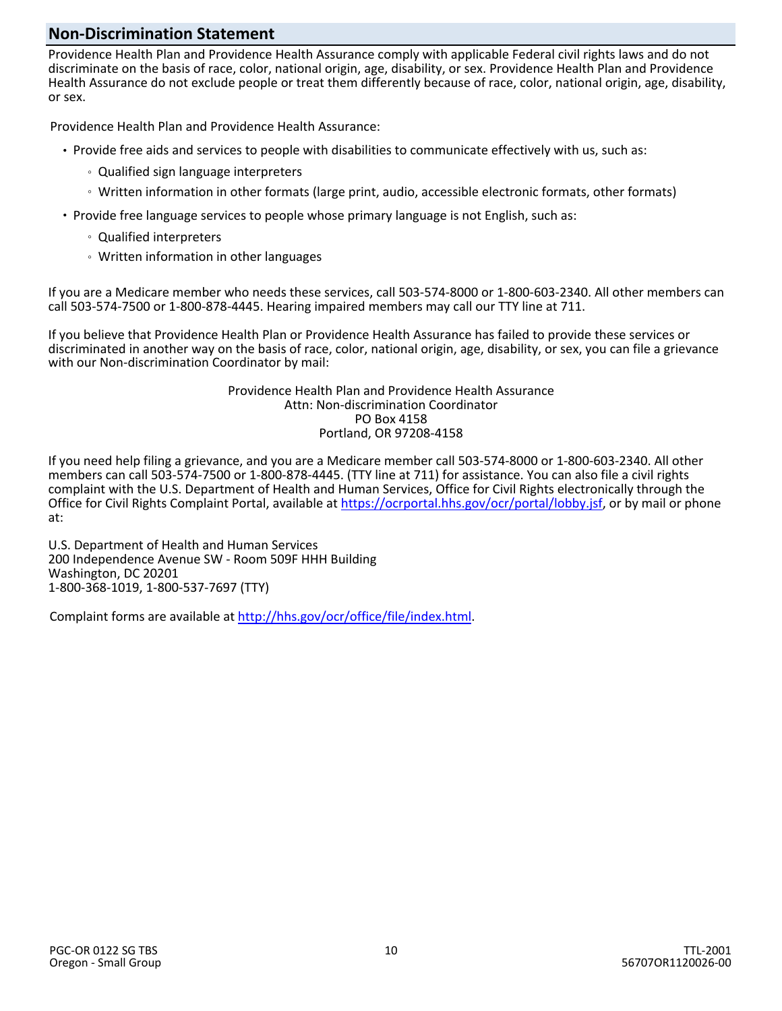## **Non-Discrimination Statement**

Providence Health Plan and Providence Health Assurance comply with applicable Federal civil rights laws and do not discriminate on the basis of race, color, national origin, age, disability, or sex. Providence Health Plan and Providence Health Assurance do not exclude people or treat them differently because of race, color, national origin, age, disability, or sex.

Providence Health Plan and Providence Health Assurance:

- Provide free aids and services to people with disabilities to communicate effectively with us, such as:
	- Qualified sign language interpreters
	- Written information in other formats (large print, audio, accessible electronic formats, other formats)
- Provide free language services to people whose primary language is not English, such as:
	- Qualified interpreters
	- Written information in other languages

If you are a Medicare member who needs these services, call 503-574-8000 or 1-800-603-2340. All other members can call 503-574-7500 or 1-800-878-4445. Hearing impaired members may call our TTY line at 711.

If you believe that Providence Health Plan or Providence Health Assurance has failed to provide these services or discriminated in another way on the basis of race, color, national origin, age, disability, or sex, you can file a grievance with our Non-discrimination Coordinator by mail:

> Providence Health Plan and Providence Health Assurance Attn: Non-discrimination Coordinator PO Box 4158 Portland, OR 97208-4158

If you need help filing a grievance, and you are a Medicare member call 503-574-8000 or 1-800-603-2340. All other members can call 503-574-7500 or 1-800-878-4445. (TTY line at 711) for assistance. You can also file a civil rights complaint with the U.S. Department of Health and Human Services, Office for Civil Rights electronically through the Office for Civil Rights Complaint Portal, available at [https://ocrportal.hhs.gov/ocr/portal/lobby.jsf,](https://ocrportal.hhs.gov/ocr/portal/lobby.jsf) or by mail or phone at:

U.S. Department of Health and Human Services 200 Independence Avenue SW - Room 509F HHH Building Washington, DC 20201 1-800-368-1019, 1-800-537-7697 (TTY)

Complaint forms are available at [http://hhs.gov/ocr/office/file/index.html](http://www.hhs.gov/ocr/office/file/index.html).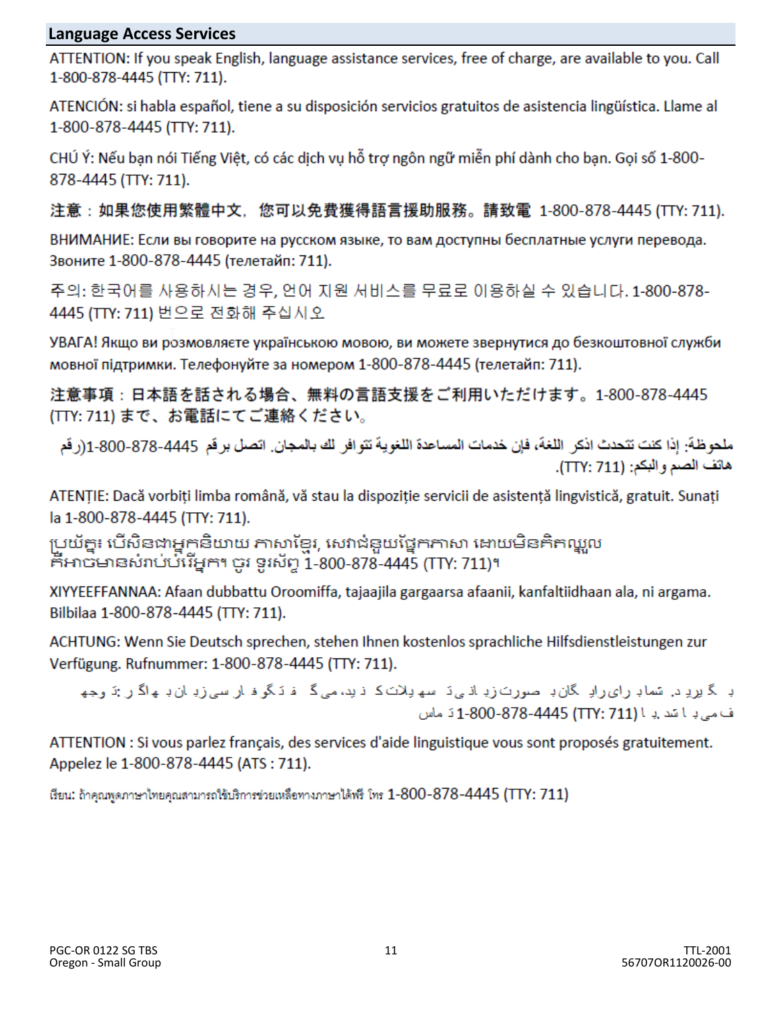# **Language Access Services**

ATTENTION: If you speak English, language assistance services, free of charge, are available to you. Call 1-800-878-4445 (TTY: 711).

ATENCIÓN: si habla español, tiene a su disposición servicios gratuitos de asistencia lingüística. Llame al 1-800-878-4445 (TTY: 711).

CHÚ Ý: Nếu ban nói Tiếng Việt, có các dịch vụ hỗ trợ ngôn ngữ miễn phí dành cho ban. Goi số 1-800-878-4445 (TTY: 711).

注意:如果您使用繁體中文,您可以免費獲得語言援助服務。請致電 1-800-878-4445 (TTY: 711).

ВНИМАНИЕ: Если вы говорите на русском языке, то вам доступны бесплатные услуги перевода. Звоните 1-800-878-4445 (телетайп: 711).

주의: 한국어를 사용하시는 경우, 언어 지원 서비스를 무료로 이용하실 수 있습니다. 1-800-878-4445 (TTY: 711) 번으로 전화해 주십시오

УВАГА! Якщо ви розмовляєте українською мовою, ви можете звернутися до безкоштовної служби мовної підтримки. Телефонуйте за номером 1-800-878-4445 (телетайп: 711).

注意事項:日本語を話される場合、無料の言語支援をご利用いただけます。1-800-878-4445 (TTY: 711) まで、お電話にてご連絡ください。

ملحو ظةً: إذا كنت تتحدث اذكر اللغة، فإن خدمات المساعدة اللغوية تتو افر لك بالمجان. اتصل بر قم 4445-878-800، 1-(ر قم هاتف الصدء البكم: (TTY: 711).

ATENȚIE: Dacă vorbiți limba română, vă stau la dispoziție servicii de asistență lingvistică, gratuit. Sunați la 1-800-878-4445 (TTY: 711).

ប្រយ័ត្ន៖ បើសិនជាអ្នកនិយាយ ភាសាខ្មែរ, សេវាជំនួយផ្នែកភាសា ដោយមិនគិតឈ្លួល កីអាចមានសំរាប់បំរើអ្នក។ ចូរ ទូរស័ព្ទ 1-800-878-4445 (TTY: 711)។

XIYYEEFFANNAA: Afaan dubbattu Oroomiffa, tajaajila gargaarsa afaanii, kanfaltiidhaan ala, ni argama. Bilbilaa 1-800-878-4445 (TTY: 711).

ACHTUNG: Wenn Sie Deutsch sprechen, stehen Ihnen kostenlos sprachliche Hilfsdienstleistungen zur Verfügung. Rufnummer: 1-800-878-4445 (TTY: 711).

د گیرد د. تساد رای رادِ گان دِ صورت زدِ اذبی دَ سهیلات کا ذید، می گا فادگرفارسی زدِ ان دِ به اگار تو جها ف می باشد با (TTY: 711) 1-800-878-4445 نماس

ATTENTION : Si vous parlez français, des services d'aide linguistique vous sont proposés gratuitement. Appelez le 1-800-878-4445 (ATS: 711).

เรียน: ถ้าคุณพูดภาษาไทยคุณสามารถใช้บริการช่วยเหลือทางภาษาได้พรี โทร  $1$ -800-878-4445 (TTY: 711)